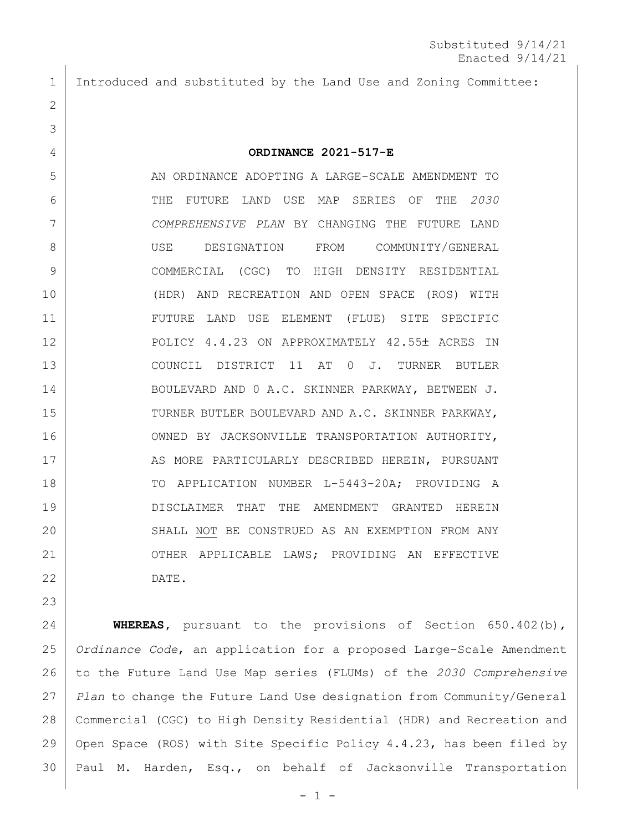Introduced and substituted by the Land Use and Zoning Committee:

## **ORDINANCE 2021-517-E**

 AN ORDINANCE ADOPTING A LARGE-SCALE AMENDMENT TO THE FUTURE LAND USE MAP SERIES OF THE *2030 COMPREHENSIVE PLAN* BY CHANGING THE FUTURE LAND USE DESIGNATION FROM COMMUNITY/GENERAL COMMERCIAL (CGC) TO HIGH DENSITY RESIDENTIAL (HDR) AND RECREATION AND OPEN SPACE (ROS) WITH FUTURE LAND USE ELEMENT (FLUE) SITE SPECIFIC 12 POLICY 4.4.23 ON APPROXIMATELY 42.55± ACRES IN 13 COUNCIL DISTRICT 11 AT 0 J. TURNER BUTLER BOULEVARD AND 0 A.C. SKINNER PARKWAY, BETWEEN J. 15 | TURNER BUTLER BOULEVARD AND A.C. SKINNER PARKWAY, 16 OWNED BY JACKSONVILLE TRANSPORTATION AUTHORITY, 17 | AS MORE PARTICULARLY DESCRIBED HEREIN, PURSUANT 18 | TO APPLICATION NUMBER L-5443-20A; PROVIDING A DISCLAIMER THAT THE AMENDMENT GRANTED HEREIN 20 SHALL NOT BE CONSTRUED AS AN EXEMPTION FROM ANY 21 | OTHER APPLICABLE LAWS; PROVIDING AN EFFECTIVE DATE.

 **WHEREAS,** pursuant to the provisions of Section 650.402(b), *Ordinance Code*, an application for a proposed Large-Scale Amendment to the Future Land Use Map series (FLUMs) of the *2030 Comprehensive Plan* to change the Future Land Use designation from Community/General Commercial (CGC) to High Density Residential (HDR) and Recreation and Open Space (ROS) with Site Specific Policy 4.4.23, has been filed by Paul M. Harden, Esq., on behalf of Jacksonville Transportation

 $-1 -$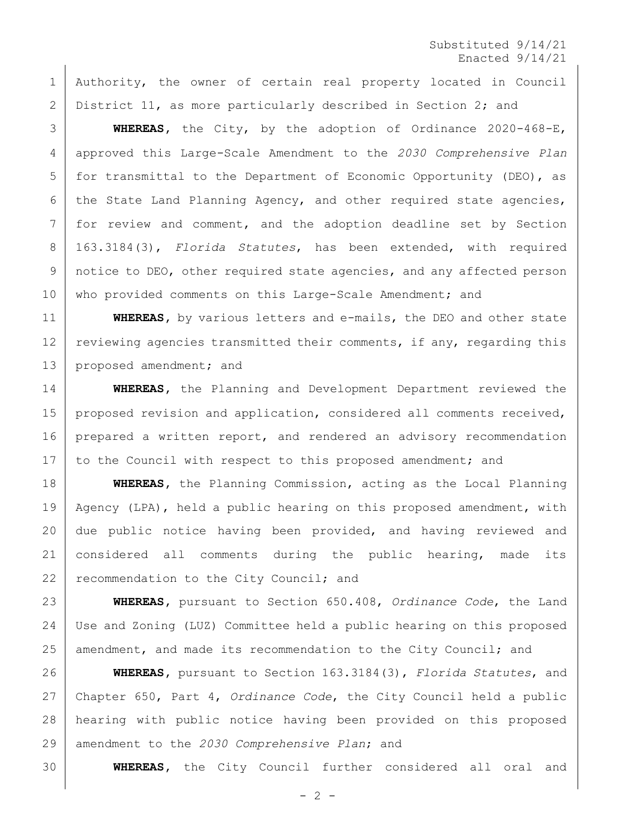Substituted 9/14/21 Enacted 9/14/21

 Authority, the owner of certain real property located in Council District 11, as more particularly described in Section 2; and

 **WHEREAS,** the City, by the adoption of Ordinance 2020-468-E, approved this Large-Scale Amendment to the *2030 Comprehensive Plan* for transmittal to the Department of Economic Opportunity (DEO), as the State Land Planning Agency, and other required state agencies, for review and comment, and the adoption deadline set by Section 163.3184(3), *Florida Statutes*, has been extended, with required notice to DEO, other required state agencies, and any affected person 10 | who provided comments on this Large-Scale Amendment; and

**WHEREAS,** by various letters and e-mails, the DEO and other state 12 reviewing agencies transmitted their comments, if any, regarding this 13 proposed amendment; and

 **WHEREAS,** the Planning and Development Department reviewed the 15 | proposed revision and application, considered all comments received, 16 | prepared a written report, and rendered an advisory recommendation 17 | to the Council with respect to this proposed amendment; and

 **WHEREAS,** the Planning Commission, acting as the Local Planning Agency (LPA), held a public hearing on this proposed amendment, with due public notice having been provided, and having reviewed and 21 | considered all comments during the public hearing, made its 22 recommendation to the City Council; and

 **WHEREAS,** pursuant to Section 650.408, *Ordinance Code*, the Land Use and Zoning (LUZ) Committee held a public hearing on this proposed 25 amendment, and made its recommendation to the City Council; and

 **WHEREAS,** pursuant to Section 163.3184(3), *Florida Statutes*, and Chapter 650, Part 4, *Ordinance Code*, the City Council held a public hearing with public notice having been provided on this proposed amendment to the *2030 Comprehensive Plan*; and

**WHEREAS,** the City Council further considered all oral and

 $- 2 -$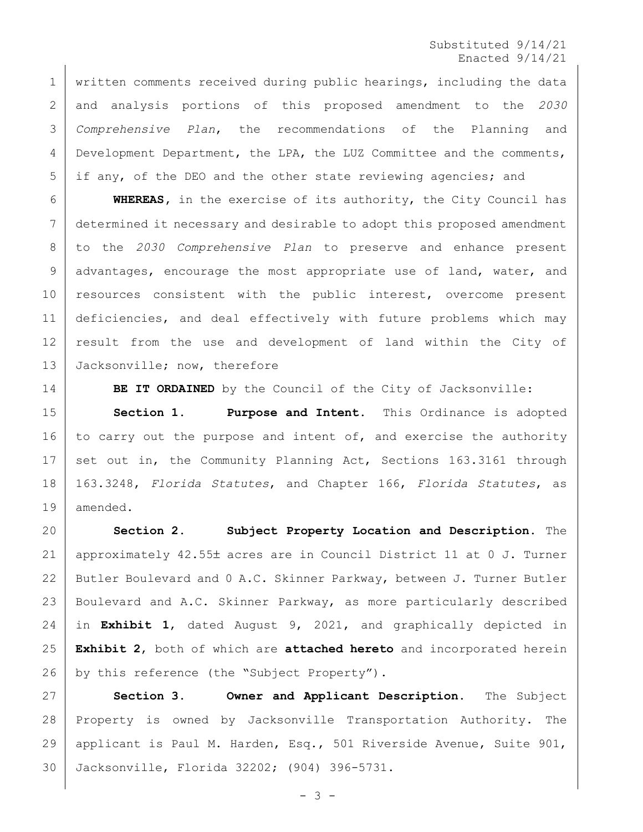Substituted 9/14/21 Enacted 9/14/21

 written comments received during public hearings, including the data and analysis portions of this proposed amendment to the *2030 Comprehensive Plan*, the recommendations of the Planning and Development Department, the LPA, the LUZ Committee and the comments, if any, of the DEO and the other state reviewing agencies; and

 **WHEREAS,** in the exercise of its authority, the City Council has determined it necessary and desirable to adopt this proposed amendment to the *2030 Comprehensive Plan* to preserve and enhance present 9 advantages, encourage the most appropriate use of land, water, and 10 resources consistent with the public interest, overcome present deficiencies, and deal effectively with future problems which may result from the use and development of land within the City of 13 Jacksonville; now, therefore

**BE IT ORDAINED** by the Council of the City of Jacksonville:

 **Section 1. Purpose and Intent.** This Ordinance is adopted 16 to carry out the purpose and intent of, and exercise the authority 17 set out in, the Community Planning Act, Sections 163.3161 through 163.3248, *Florida Statutes*, and Chapter 166, *Florida Statutes*, as amended.

 **Section 2. Subject Property Location and Description.** The 21 | approximately 42.55± acres are in Council District 11 at 0 J. Turner Butler Boulevard and 0 A.C. Skinner Parkway, between J. Turner Butler Boulevard and A.C. Skinner Parkway, as more particularly described in **Exhibit 1**, dated August 9, 2021, and graphically depicted in **Exhibit 2**, both of which are **attached hereto** and incorporated herein 26 by this reference (the "Subject Property").

 **Section 3. Owner and Applicant Description.** The Subject Property is owned by Jacksonville Transportation Authority. The applicant is Paul M. Harden, Esq., 501 Riverside Avenue, Suite 901, Jacksonville, Florida 32202; (904) 396-5731.

 $- 3 -$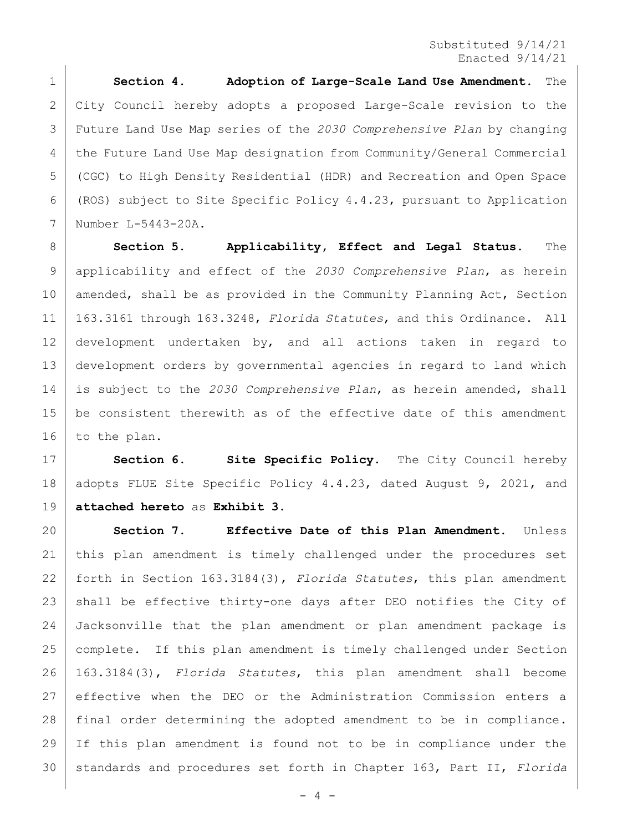Substituted 9/14/21 Enacted 9/14/21

 **Section 4. Adoption of Large-Scale Land Use Amendment.** The City Council hereby adopts a proposed Large-Scale revision to the Future Land Use Map series of the *2030 Comprehensive Plan* by changing the Future Land Use Map designation from Community/General Commercial (CGC) to High Density Residential (HDR) and Recreation and Open Space (ROS) subject to Site Specific Policy 4.4.23, pursuant to Application Number L-5443-20A.

 **Section 5. Applicability, Effect and Legal Status.** The applicability and effect of the *2030 Comprehensive Plan*, as herein 10 | amended, shall be as provided in the Community Planning Act, Section 163.3161 through 163.3248, *Florida Statutes*, and this Ordinance. All development undertaken by, and all actions taken in regard to development orders by governmental agencies in regard to land which is subject to the *2030 Comprehensive Plan*, as herein amended, shall be consistent therewith as of the effective date of this amendment to the plan.

 **Section 6. Site Specific Policy.** The City Council hereby 18 | adopts FLUE Site Specific Policy 4.4.23, dated August 9, 2021, and **attached hereto** as **Exhibit 3**.

 **Section 7. Effective Date of this Plan Amendment.** Unless this plan amendment is timely challenged under the procedures set forth in Section 163.3184(3), *Florida Statutes*, this plan amendment 23 | shall be effective thirty-one days after DEO notifies the City of Jacksonville that the plan amendment or plan amendment package is complete. If this plan amendment is timely challenged under Section 163.3184(3), *Florida Statutes*, this plan amendment shall become effective when the DEO or the Administration Commission enters a final order determining the adopted amendment to be in compliance. If this plan amendment is found not to be in compliance under the standards and procedures set forth in Chapter 163, Part II, *Florida*